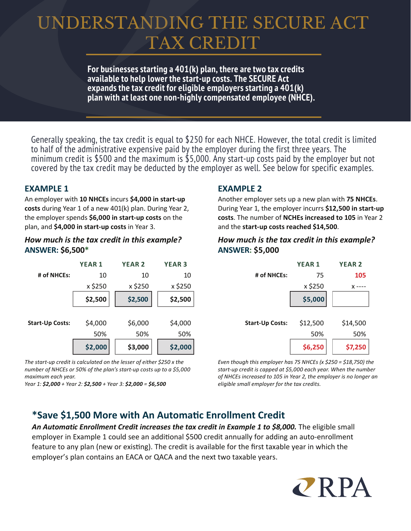# UNDERSTANDING THE SECURE ACT TAX CREDIT

**For businesses starting a 401(k) plan, there are two tax credits available to help lower the start-up costs. The SECURE Act expands the tax credit for eligible employers starting a 401(k) plan with at least one non-highly compensated employee (NHCE).** 

Generally speaking, the tax credit is equal to \$250 for each NHCE. However, the total credit is limited to half of the administrative expensive paid by the employer during the first three years. The minimum credit is \$500 and the maximum is \$5,000. Any start-up costs paid by the employer but not covered by the tax credit may be deducted by the employer as well. See below for specific examples.

## **EXAMPLE 1**

An employer with **10 NHCEs** incurs **\$4,000 in start-up costs** during Year 1 of a new 401(k) plan. During Year 2, the employer spends **\$6,000 in start-up costs** on the plan, and **\$4,000 in start-up costs** in Year 3.

#### *How much is the tax credit in this example?* **ANSWER: \$6,500\***



*The start-up credit is calculated on the lesser of either \$250 x the number of NHCEs or 50% of the plan's start-up costs up to a \$5,000 maximum each year.* 

*Year 1: \$2,000 + Year 2: \$2,500 + Year 3: \$2,000 = \$6,500*

# **EXAMPLE 2**

Another employer sets up a new plan with **75 NHCEs**. During Year 1, the employer incurrs **\$12,500 in start-up costs**. The number of **NCHEs increased to 105** in Year 2 and the **start-up costs reached \$14,500**.

### *How much is the tax credit in this example?* **ANSWER: \$5,000**

|                        | <b>YEAR1</b> | <b>YEAR 2</b> |
|------------------------|--------------|---------------|
| # of NHCEs:            | 75           | 105           |
|                        | x \$250      | x             |
|                        | \$5,000      |               |
|                        |              |               |
| <b>Start-Up Costs:</b> | \$12,500     | \$14,500      |
|                        | 50%          | 50%           |
|                        | \$6,250      | \$7,250       |

*Even though this employer has 75 NHCEs (x \$250 = \$18,750) the start-up credit is capped at \$5,000 each year. When the number of NHCEs increased to 105 in Year 2, the employer is no longer an eligible small employer for the tax credits.*

# **\*Save \$1,500 More with An Automa�c Enrollment Credit**

*An Automatic Enrollment Credit increases the tax credit in Example 1 to \$8,000.* The eligible small employer in Example 1 could see an additional \$500 credit annually for adding an auto-enrollment feature to any plan (new or existing). The credit is available for the first taxable year in which the employer's plan contains an EACA or QACA and the next two taxable years.